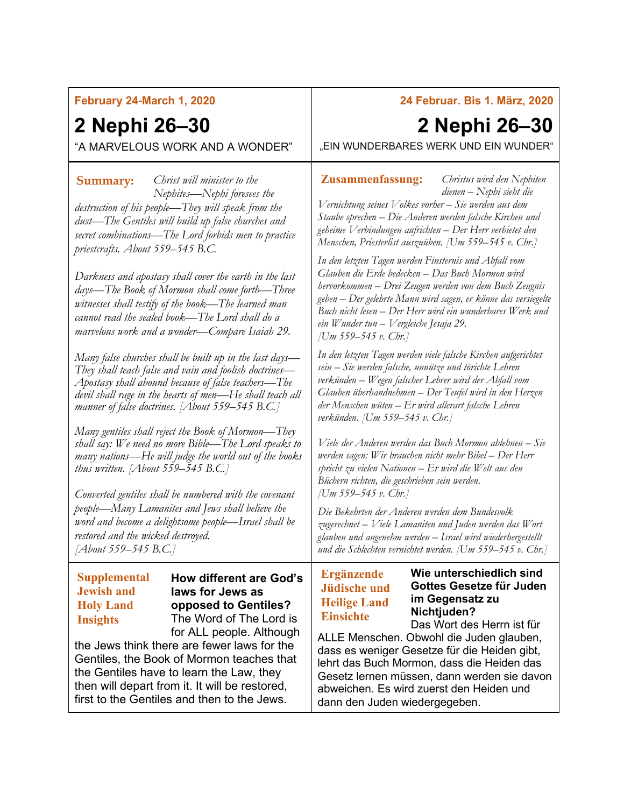## **February 24-March 1, 2020**

# **2 Nephi 26–30**

"A MARVELOUS WORK AND A WONDER"

*Christ will minister to the*  **Summary: Zusammenfassung:** *Nephites—Nephi foresees the destruction of his people—They will speak from the dust—The Gentiles will build up false churches and secret combinations—The Lord forbids men to practice priestcrafts. About 559–545 B.C.*

*Darkness and apostasy shall cover the earth in the last days—The Book of Mormon shall come forth—Three witnesses shall testify of the book—The learned man cannot read the sealed book—The Lord shall do a marvelous work and a wonder—Compare Isaiah 29.*

*Many false churches shall be built up in the last days— They shall teach false and vain and foolish doctrines— Apostasy shall abound because of false teachers—The devil shall rage in the hearts of men—He shall teach all manner of false doctrines. [About 559–545 B.C.]*

*Many gentiles shall reject the Book of Mormon—They shall say: We need no more Bible—The Lord speaks to many nations—He will judge the world out of the books thus written. [About 559–545 B.C.]*

*Converted gentiles shall be numbered with the covenant people—Many Lamanites and Jews shall believe the word and become a delightsome people—Israel shall be restored and the wicked destroyed. [About 559–545 B.C.]*

## **Supplemental Jewish and Holy Land Insights**

**How different are God's laws for Jews as opposed to Gentiles?** The Word of The Lord is for ALL people. Although

the Jews think there are fewer laws for the Gentiles, the Book of Mormon teaches that the Gentiles have to learn the Law, they then will depart from it. It will be restored, first to the Gentiles and then to the Jews.

## **24 Februar. Bis 1. März, 2020**

## **2 Nephi 26–30**

*Christus wird den Nephiten* 

"EIN WUNDERBARES WERK UND EIN WUNDER"

*dienen – Nephi sieht die Vernichtung seines Volkes vorher – Sie werden aus dem Staube sprechen – Die Anderen werden falsche Kirchen und geheime Verbindungen aufrichten – Der Herr verbietet den Menschen, Priesterlist auszuüben. [Um 559–545 v. Chr.]*

*In den letzten Tagen werden Finsternis und Abfall vom Glauben die Erde bedecken – Das Buch Mormon wird hervorkommen – Drei Zeugen werden von dem Buch Zeugnis geben – Der gelehrte Mann wird sagen, er könne das versiegelte Buch nicht lesen – Der Herr wird ein wunderbares Werk und ein Wunder tun – Vergleiche Jesaja 29. [Um 559–545 v. Chr.]*

*In den letzten Tagen werden viele falsche Kirchen aufgerichtet sein – Sie werden falsche, unnütze und törichte Lehren verkünden – Wegen falscher Lehrer wird der Abfall vom Glauben überhandnehmen – Der Teufel wird in den Herzen der Menschen wüten – Er wird allerart falsche Lehren verkünden. [Um 559–545 v. Chr.]*

*Viele der Anderen werden das Buch Mormon ablehnen – Sie werden sagen: Wir brauchen nicht mehr Bibel – Der Herr spricht zu vielen Nationen – Er wird die Welt aus den Büchern richten, die geschrieben sein werden. [Um 559–545 v. Chr.]*

*Die Bekehrten der Anderen werden dem Bundesvolk zugerechnet – Viele Lamaniten und Juden werden das Wort glauben und angenehm werden – Israel wird wiederhergestellt und die Schlechten vernichtet werden. [Um 559–545 v. Chr.]*

## **Ergänzende Jüdische und Heilige Land Einsichte**

### **Wie unterschiedlich sind Gottes Gesetze für Juden im Gegensatz zu Nichtjuden?**

Das Wort des Herrn ist für ALLE Menschen. Obwohl die Juden glauben, dass es weniger Gesetze für die Heiden gibt, lehrt das Buch Mormon, dass die Heiden das Gesetz lernen müssen, dann werden sie davon abweichen. Es wird zuerst den Heiden und dann den Juden wiedergegeben.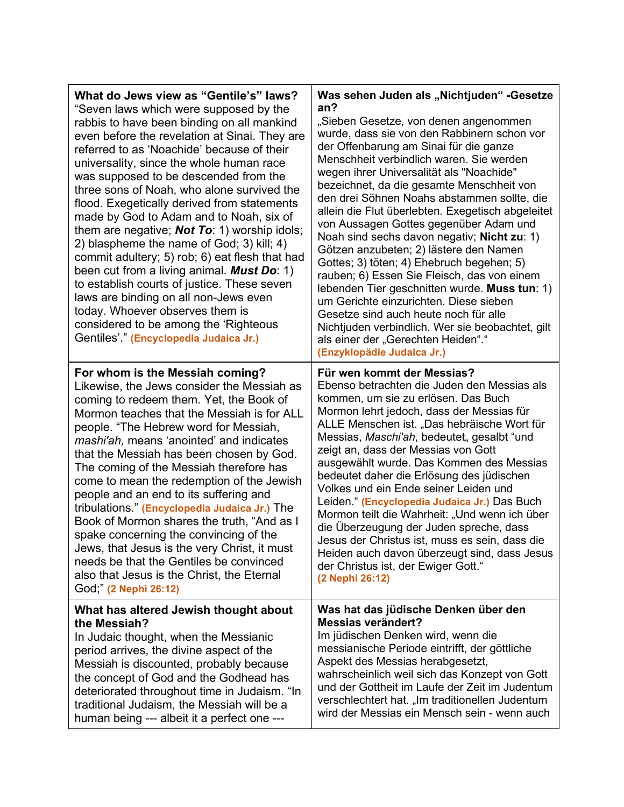| What do Jews view as "Gentile's" laws?<br>"Seven laws which were supposed by the<br>rabbis to have been binding on all mankind<br>even before the revelation at Sinai. They are<br>referred to as 'Noachide' because of their<br>universality, since the whole human race<br>was supposed to be descended from the<br>three sons of Noah, who alone survived the<br>flood. Exegetically derived from statements<br>made by God to Adam and to Noah, six of<br>them are negative; Not To: 1) worship idols;<br>2) blaspheme the name of God; 3) kill; 4)<br>commit adultery; 5) rob; 6) eat flesh that had<br>been cut from a living animal. Must Do: 1)<br>to establish courts of justice. These seven<br>laws are binding on all non-Jews even<br>today. Whoever observes them is<br>considered to be among the 'Righteous<br>Gentiles'." (Encyclopedia Judaica Jr.) | Was sehen Juden als "Nichtjuden" - Gesetze<br>an?<br>"Sieben Gesetze, von denen angenommen<br>wurde, dass sie von den Rabbinern schon vor<br>der Offenbarung am Sinai für die ganze<br>Menschheit verbindlich waren. Sie werden<br>wegen ihrer Universalität als "Noachide"<br>bezeichnet, da die gesamte Menschheit von<br>den drei Söhnen Noahs abstammen sollte, die<br>allein die Flut überlebten. Exegetisch abgeleitet<br>von Aussagen Gottes gegenüber Adam und<br>Noah sind sechs davon negativ; Nicht zu: 1)<br>Götzen anzubeten; 2) lästere den Namen<br>Gottes; 3) töten; 4) Ehebruch begehen; 5)<br>rauben; 6) Essen Sie Fleisch, das von einem<br>lebenden Tier geschnitten wurde. Muss tun: 1)<br>um Gerichte einzurichten. Diese sieben<br>Gesetze sind auch heute noch für alle<br>Nichtjuden verbindlich. Wer sie beobachtet, gilt<br>als einer der "Gerechten Heiden"."<br>(Enzyklopädie Judaica Jr.) |
|-----------------------------------------------------------------------------------------------------------------------------------------------------------------------------------------------------------------------------------------------------------------------------------------------------------------------------------------------------------------------------------------------------------------------------------------------------------------------------------------------------------------------------------------------------------------------------------------------------------------------------------------------------------------------------------------------------------------------------------------------------------------------------------------------------------------------------------------------------------------------|-------------------------------------------------------------------------------------------------------------------------------------------------------------------------------------------------------------------------------------------------------------------------------------------------------------------------------------------------------------------------------------------------------------------------------------------------------------------------------------------------------------------------------------------------------------------------------------------------------------------------------------------------------------------------------------------------------------------------------------------------------------------------------------------------------------------------------------------------------------------------------------------------------------------------|
| For whom is the Messiah coming?                                                                                                                                                                                                                                                                                                                                                                                                                                                                                                                                                                                                                                                                                                                                                                                                                                       | Für wen kommt der Messias?                                                                                                                                                                                                                                                                                                                                                                                                                                                                                                                                                                                                                                                                                                                                                                                                                                                                                              |
| Likewise, the Jews consider the Messiah as                                                                                                                                                                                                                                                                                                                                                                                                                                                                                                                                                                                                                                                                                                                                                                                                                            | Ebenso betrachten die Juden den Messias als                                                                                                                                                                                                                                                                                                                                                                                                                                                                                                                                                                                                                                                                                                                                                                                                                                                                             |
| coming to redeem them. Yet, the Book of                                                                                                                                                                                                                                                                                                                                                                                                                                                                                                                                                                                                                                                                                                                                                                                                                               | kommen, um sie zu erlösen. Das Buch                                                                                                                                                                                                                                                                                                                                                                                                                                                                                                                                                                                                                                                                                                                                                                                                                                                                                     |
| Mormon teaches that the Messiah is for ALL                                                                                                                                                                                                                                                                                                                                                                                                                                                                                                                                                                                                                                                                                                                                                                                                                            | Mormon lehrt jedoch, dass der Messias für                                                                                                                                                                                                                                                                                                                                                                                                                                                                                                                                                                                                                                                                                                                                                                                                                                                                               |
| people. "The Hebrew word for Messiah,                                                                                                                                                                                                                                                                                                                                                                                                                                                                                                                                                                                                                                                                                                                                                                                                                                 | ALLE Menschen ist. "Das hebräische Wort für                                                                                                                                                                                                                                                                                                                                                                                                                                                                                                                                                                                                                                                                                                                                                                                                                                                                             |
| mashi'ah, means 'anointed' and indicates                                                                                                                                                                                                                                                                                                                                                                                                                                                                                                                                                                                                                                                                                                                                                                                                                              | Messias, Maschi'ah, bedeutet, gesalbt "und                                                                                                                                                                                                                                                                                                                                                                                                                                                                                                                                                                                                                                                                                                                                                                                                                                                                              |
| that the Messiah has been chosen by God.                                                                                                                                                                                                                                                                                                                                                                                                                                                                                                                                                                                                                                                                                                                                                                                                                              | zeigt an, dass der Messias von Gott                                                                                                                                                                                                                                                                                                                                                                                                                                                                                                                                                                                                                                                                                                                                                                                                                                                                                     |
| The coming of the Messiah therefore has                                                                                                                                                                                                                                                                                                                                                                                                                                                                                                                                                                                                                                                                                                                                                                                                                               | ausgewählt wurde. Das Kommen des Messias                                                                                                                                                                                                                                                                                                                                                                                                                                                                                                                                                                                                                                                                                                                                                                                                                                                                                |
| come to mean the redemption of the Jewish                                                                                                                                                                                                                                                                                                                                                                                                                                                                                                                                                                                                                                                                                                                                                                                                                             | bedeutet daher die Erlösung des jüdischen                                                                                                                                                                                                                                                                                                                                                                                                                                                                                                                                                                                                                                                                                                                                                                                                                                                                               |
| people and an end to its suffering and                                                                                                                                                                                                                                                                                                                                                                                                                                                                                                                                                                                                                                                                                                                                                                                                                                | Volkes und ein Ende seiner Leiden und                                                                                                                                                                                                                                                                                                                                                                                                                                                                                                                                                                                                                                                                                                                                                                                                                                                                                   |
| tribulations." (Encyclopedia Judaica Jr.) The                                                                                                                                                                                                                                                                                                                                                                                                                                                                                                                                                                                                                                                                                                                                                                                                                         | Leiden." (Encyclopedia Judaica Jr.) Das Buch                                                                                                                                                                                                                                                                                                                                                                                                                                                                                                                                                                                                                                                                                                                                                                                                                                                                            |
| Book of Mormon shares the truth, "And as I                                                                                                                                                                                                                                                                                                                                                                                                                                                                                                                                                                                                                                                                                                                                                                                                                            | Mormon teilt die Wahrheit: "Und wenn ich über                                                                                                                                                                                                                                                                                                                                                                                                                                                                                                                                                                                                                                                                                                                                                                                                                                                                           |
| spake concerning the convincing of the                                                                                                                                                                                                                                                                                                                                                                                                                                                                                                                                                                                                                                                                                                                                                                                                                                | die Überzeugung der Juden spreche, dass                                                                                                                                                                                                                                                                                                                                                                                                                                                                                                                                                                                                                                                                                                                                                                                                                                                                                 |
| Jews, that Jesus is the very Christ, it must                                                                                                                                                                                                                                                                                                                                                                                                                                                                                                                                                                                                                                                                                                                                                                                                                          | Jesus der Christus ist, muss es sein, dass die                                                                                                                                                                                                                                                                                                                                                                                                                                                                                                                                                                                                                                                                                                                                                                                                                                                                          |
| needs be that the Gentiles be convinced                                                                                                                                                                                                                                                                                                                                                                                                                                                                                                                                                                                                                                                                                                                                                                                                                               | Heiden auch davon überzeugt sind, dass Jesus                                                                                                                                                                                                                                                                                                                                                                                                                                                                                                                                                                                                                                                                                                                                                                                                                                                                            |
| also that Jesus is the Christ, the Eternal                                                                                                                                                                                                                                                                                                                                                                                                                                                                                                                                                                                                                                                                                                                                                                                                                            | der Christus ist, der Ewiger Gott."                                                                                                                                                                                                                                                                                                                                                                                                                                                                                                                                                                                                                                                                                                                                                                                                                                                                                     |
| God," (2 Nephi 26:12)                                                                                                                                                                                                                                                                                                                                                                                                                                                                                                                                                                                                                                                                                                                                                                                                                                                 | (2 Nephi 26:12)                                                                                                                                                                                                                                                                                                                                                                                                                                                                                                                                                                                                                                                                                                                                                                                                                                                                                                         |
| What has altered Jewish thought about                                                                                                                                                                                                                                                                                                                                                                                                                                                                                                                                                                                                                                                                                                                                                                                                                                 | Was hat das jüdische Denken über den                                                                                                                                                                                                                                                                                                                                                                                                                                                                                                                                                                                                                                                                                                                                                                                                                                                                                    |
| the Messiah?                                                                                                                                                                                                                                                                                                                                                                                                                                                                                                                                                                                                                                                                                                                                                                                                                                                          | Messias verändert?                                                                                                                                                                                                                                                                                                                                                                                                                                                                                                                                                                                                                                                                                                                                                                                                                                                                                                      |
| In Judaic thought, when the Messianic                                                                                                                                                                                                                                                                                                                                                                                                                                                                                                                                                                                                                                                                                                                                                                                                                                 | Im jüdischen Denken wird, wenn die                                                                                                                                                                                                                                                                                                                                                                                                                                                                                                                                                                                                                                                                                                                                                                                                                                                                                      |
| period arrives, the divine aspect of the                                                                                                                                                                                                                                                                                                                                                                                                                                                                                                                                                                                                                                                                                                                                                                                                                              | messianische Periode eintrifft, der göttliche                                                                                                                                                                                                                                                                                                                                                                                                                                                                                                                                                                                                                                                                                                                                                                                                                                                                           |
| Messiah is discounted, probably because                                                                                                                                                                                                                                                                                                                                                                                                                                                                                                                                                                                                                                                                                                                                                                                                                               | Aspekt des Messias herabgesetzt,                                                                                                                                                                                                                                                                                                                                                                                                                                                                                                                                                                                                                                                                                                                                                                                                                                                                                        |
| the concept of God and the Godhead has                                                                                                                                                                                                                                                                                                                                                                                                                                                                                                                                                                                                                                                                                                                                                                                                                                | wahrscheinlich weil sich das Konzept von Gott                                                                                                                                                                                                                                                                                                                                                                                                                                                                                                                                                                                                                                                                                                                                                                                                                                                                           |
| deteriorated throughout time in Judaism. "In                                                                                                                                                                                                                                                                                                                                                                                                                                                                                                                                                                                                                                                                                                                                                                                                                          | und der Gottheit im Laufe der Zeit im Judentum                                                                                                                                                                                                                                                                                                                                                                                                                                                                                                                                                                                                                                                                                                                                                                                                                                                                          |
| traditional Judaism, the Messiah will be a                                                                                                                                                                                                                                                                                                                                                                                                                                                                                                                                                                                                                                                                                                                                                                                                                            | verschlechtert hat. "Im traditionellen Judentum                                                                                                                                                                                                                                                                                                                                                                                                                                                                                                                                                                                                                                                                                                                                                                                                                                                                         |
| human being --- albeit it a perfect one ---                                                                                                                                                                                                                                                                                                                                                                                                                                                                                                                                                                                                                                                                                                                                                                                                                           | wird der Messias ein Mensch sein - wenn auch                                                                                                                                                                                                                                                                                                                                                                                                                                                                                                                                                                                                                                                                                                                                                                                                                                                                            |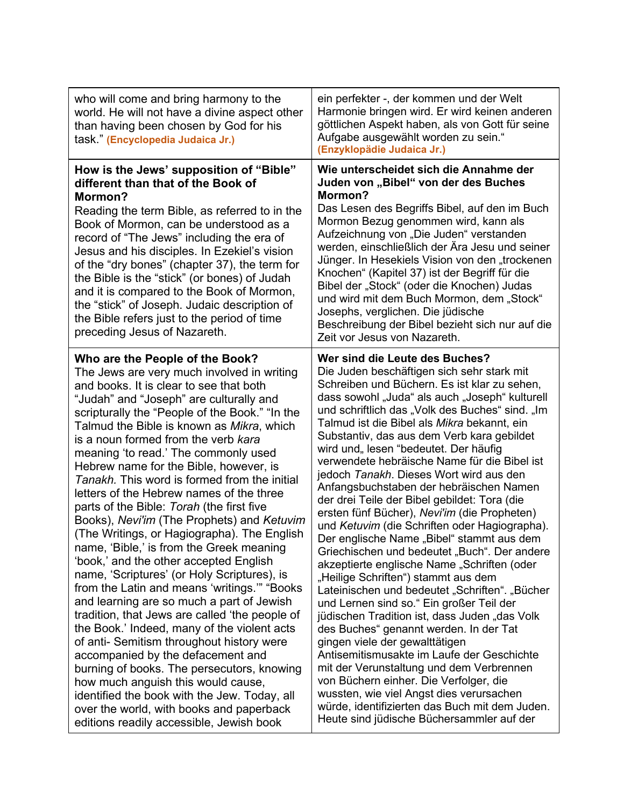| who will come and bring harmony to the<br>world. He will not have a divine aspect other<br>than having been chosen by God for his<br>task." (Encyclopedia Judaica Jr.)                                                                                                                                                                                                                                                                                                                                                                                                                                                                                                                                                                                                                                                                                                                                                                                                                                                                                                                                                                                                                                                                                                            | ein perfekter -, der kommen und der Welt<br>Harmonie bringen wird. Er wird keinen anderen<br>göttlichen Aspekt haben, als von Gott für seine<br>Aufgabe ausgewählt worden zu sein."<br>(Enzyklopädie Judaica Jr.)                                                                                                                                                                                                                                                                                                                                                                                                                                                                                                                                                                                                                                                                                                                                                                                                                                                                                                                                                                                                                                                                                                                                           |
|-----------------------------------------------------------------------------------------------------------------------------------------------------------------------------------------------------------------------------------------------------------------------------------------------------------------------------------------------------------------------------------------------------------------------------------------------------------------------------------------------------------------------------------------------------------------------------------------------------------------------------------------------------------------------------------------------------------------------------------------------------------------------------------------------------------------------------------------------------------------------------------------------------------------------------------------------------------------------------------------------------------------------------------------------------------------------------------------------------------------------------------------------------------------------------------------------------------------------------------------------------------------------------------|-------------------------------------------------------------------------------------------------------------------------------------------------------------------------------------------------------------------------------------------------------------------------------------------------------------------------------------------------------------------------------------------------------------------------------------------------------------------------------------------------------------------------------------------------------------------------------------------------------------------------------------------------------------------------------------------------------------------------------------------------------------------------------------------------------------------------------------------------------------------------------------------------------------------------------------------------------------------------------------------------------------------------------------------------------------------------------------------------------------------------------------------------------------------------------------------------------------------------------------------------------------------------------------------------------------------------------------------------------------|
| How is the Jews' supposition of "Bible"<br>different than that of the Book of<br>Mormon?<br>Reading the term Bible, as referred to in the<br>Book of Mormon, can be understood as a<br>record of "The Jews" including the era of<br>Jesus and his disciples. In Ezekiel's vision<br>of the "dry bones" (chapter 37), the term for<br>the Bible is the "stick" (or bones) of Judah<br>and it is compared to the Book of Mormon,<br>the "stick" of Joseph. Judaic description of<br>the Bible refers just to the period of time<br>preceding Jesus of Nazareth.                                                                                                                                                                                                                                                                                                                                                                                                                                                                                                                                                                                                                                                                                                                     | Wie unterscheidet sich die Annahme der<br>Juden von "Bibel" von der des Buches<br>Mormon?<br>Das Lesen des Begriffs Bibel, auf den im Buch<br>Mormon Bezug genommen wird, kann als<br>Aufzeichnung von "Die Juden" verstanden<br>werden, einschließlich der Ära Jesu und seiner<br>Jünger. In Hesekiels Vision von den "trockenen<br>Knochen" (Kapitel 37) ist der Begriff für die<br>Bibel der "Stock" (oder die Knochen) Judas<br>und wird mit dem Buch Mormon, dem "Stock"<br>Josephs, verglichen. Die jüdische<br>Beschreibung der Bibel bezieht sich nur auf die<br>Zeit vor Jesus von Nazareth.                                                                                                                                                                                                                                                                                                                                                                                                                                                                                                                                                                                                                                                                                                                                                       |
| Who are the People of the Book?<br>The Jews are very much involved in writing<br>and books. It is clear to see that both<br>"Judah" and "Joseph" are culturally and<br>scripturally the "People of the Book." "In the<br>Talmud the Bible is known as Mikra, which<br>is a noun formed from the verb kara<br>meaning 'to read.' The commonly used<br>Hebrew name for the Bible, however, is<br>Tanakh. This word is formed from the initial<br>letters of the Hebrew names of the three<br>parts of the Bible: Torah (the first five<br>Books), Nevi'im (The Prophets) and Ketuvim<br>(The Writings, or Hagiographa). The English<br>name, 'Bible,' is from the Greek meaning<br>'book,' and the other accepted English<br>name, 'Scriptures' (or Holy Scriptures), is<br>from the Latin and means 'writings." "Books<br>and learning are so much a part of Jewish<br>tradition, that Jews are called 'the people of<br>the Book.' Indeed, many of the violent acts<br>of anti- Semitism throughout history were<br>accompanied by the defacement and<br>burning of books. The persecutors, knowing<br>how much anguish this would cause,<br>identified the book with the Jew. Today, all<br>over the world, with books and paperback<br>editions readily accessible, Jewish book | Wer sind die Leute des Buches?<br>Die Juden beschäftigen sich sehr stark mit<br>Schreiben und Büchern. Es ist klar zu sehen,<br>dass sowohl "Juda" als auch "Joseph" kulturell<br>und schriftlich das "Volk des Buches" sind. "Im<br>Talmud ist die Bibel als Mikra bekannt, ein<br>Substantiv, das aus dem Verb kara gebildet<br>wird und" lesen "bedeutet. Der häufig<br>verwendete hebräische Name für die Bibel ist<br>jedoch Tanakh. Dieses Wort wird aus den<br>Anfangsbuchstaben der hebräischen Namen<br>der drei Teile der Bibel gebildet: Tora (die<br>ersten fünf Bücher), Nevi'im (die Propheten)<br>und Ketuvim (die Schriften oder Hagiographa).<br>Der englische Name "Bibel" stammt aus dem<br>Griechischen und bedeutet "Buch". Der andere<br>akzeptierte englische Name "Schriften (oder<br>"Heilige Schriften") stammt aus dem<br>Lateinischen und bedeutet "Schriften". "Bücher<br>und Lernen sind so." Ein großer Teil der<br>jüdischen Tradition ist, dass Juden "das Volk<br>des Buches" genannt werden. In der Tat<br>gingen viele der gewalttätigen<br>Antisemitismusakte im Laufe der Geschichte<br>mit der Verunstaltung und dem Verbrennen<br>von Büchern einher. Die Verfolger, die<br>wussten, wie viel Angst dies verursachen<br>würde, identifizierten das Buch mit dem Juden.<br>Heute sind jüdische Büchersammler auf der |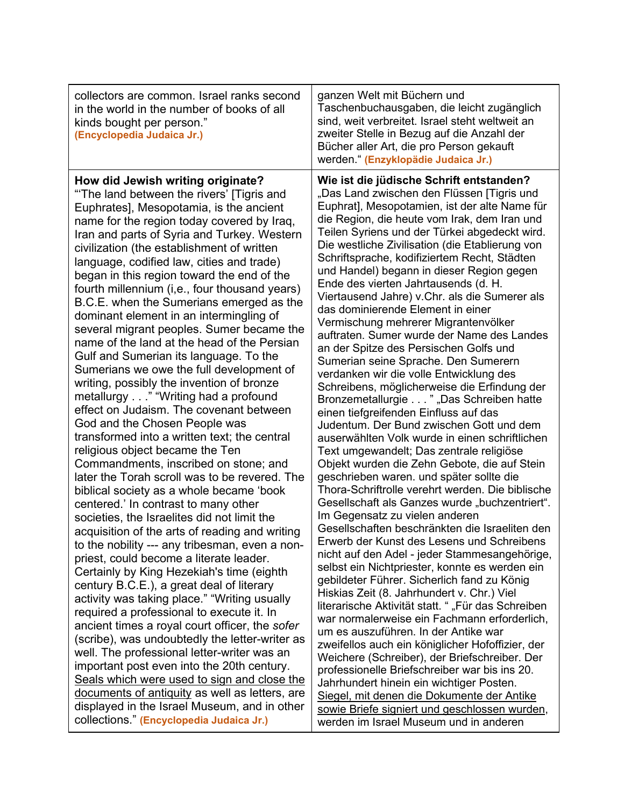| collectors are common. Israel ranks second<br>in the world in the number of books of all<br>kinds bought per person."<br>(Encyclopedia Judaica Jr.)                                                                                                                                                                                                                                                                                                                                                                                                                                                                                                                                                                                                                                                                                                                                                                                                                                                                                                                                                                                                                                                                                                                                                                                                                                                                                                                                                                                                                                                                                                                                                                                                                                                                                                               | ganzen Welt mit Büchern und<br>Taschenbuchausgaben, die leicht zugänglich<br>sind, weit verbreitet. Israel steht weltweit an<br>zweiter Stelle in Bezug auf die Anzahl der<br>Bücher aller Art, die pro Person gekauft<br>werden." (Enzyklopädie Judaica Jr.)                                                                                                                                                                                                                                                                                                                                                                                                                                                                                                                                                                                                                                                                                                                                                                                                                                                                                                                                                                                                                                                                                                                                                                                                                                                                                                                                                                                                                                                                                                                                                                                                                                                                                                                                              |
|-------------------------------------------------------------------------------------------------------------------------------------------------------------------------------------------------------------------------------------------------------------------------------------------------------------------------------------------------------------------------------------------------------------------------------------------------------------------------------------------------------------------------------------------------------------------------------------------------------------------------------------------------------------------------------------------------------------------------------------------------------------------------------------------------------------------------------------------------------------------------------------------------------------------------------------------------------------------------------------------------------------------------------------------------------------------------------------------------------------------------------------------------------------------------------------------------------------------------------------------------------------------------------------------------------------------------------------------------------------------------------------------------------------------------------------------------------------------------------------------------------------------------------------------------------------------------------------------------------------------------------------------------------------------------------------------------------------------------------------------------------------------------------------------------------------------------------------------------------------------|------------------------------------------------------------------------------------------------------------------------------------------------------------------------------------------------------------------------------------------------------------------------------------------------------------------------------------------------------------------------------------------------------------------------------------------------------------------------------------------------------------------------------------------------------------------------------------------------------------------------------------------------------------------------------------------------------------------------------------------------------------------------------------------------------------------------------------------------------------------------------------------------------------------------------------------------------------------------------------------------------------------------------------------------------------------------------------------------------------------------------------------------------------------------------------------------------------------------------------------------------------------------------------------------------------------------------------------------------------------------------------------------------------------------------------------------------------------------------------------------------------------------------------------------------------------------------------------------------------------------------------------------------------------------------------------------------------------------------------------------------------------------------------------------------------------------------------------------------------------------------------------------------------------------------------------------------------------------------------------------------------|
| How did Jewish writing originate?<br>"The land between the rivers' [Tigris and<br>Euphrates], Mesopotamia, is the ancient<br>name for the region today covered by Iraq,<br>Iran and parts of Syria and Turkey. Western<br>civilization (the establishment of written<br>language, codified law, cities and trade)<br>began in this region toward the end of the<br>fourth millennium (i,e., four thousand years)<br>B.C.E. when the Sumerians emerged as the<br>dominant element in an intermingling of<br>several migrant peoples. Sumer became the<br>name of the land at the head of the Persian<br>Gulf and Sumerian its language. To the<br>Sumerians we owe the full development of<br>writing, possibly the invention of bronze<br>metallurgy" "Writing had a profound<br>effect on Judaism. The covenant between<br>God and the Chosen People was<br>transformed into a written text; the central<br>religious object became the Ten<br>Commandments, inscribed on stone; and<br>later the Torah scroll was to be revered. The<br>biblical society as a whole became 'book<br>centered.' In contrast to many other<br>societies, the Israelites did not limit the<br>acquisition of the arts of reading and writing<br>to the nobility --- any tribesman, even a non-<br>priest, could become a literate leader.<br>Certainly by King Hezekiah's time (eighth<br>century B.C.E.), a great deal of literary<br>activity was taking place." "Writing usually<br>required a professional to execute it. In<br>ancient times a royal court officer, the sofer<br>(scribe), was undoubtedly the letter-writer as<br>well. The professional letter-writer was an<br>important post even into the 20th century.<br>Seals which were used to sign and close the<br>documents of antiquity as well as letters, are<br>displayed in the Israel Museum, and in other | Wie ist die jüdische Schrift entstanden?<br>"Das Land zwischen den Flüssen [Tigris und<br>Euphrat], Mesopotamien, ist der alte Name für<br>die Region, die heute vom Irak, dem Iran und<br>Teilen Syriens und der Türkei abgedeckt wird.<br>Die westliche Zivilisation (die Etablierung von<br>Schriftsprache, kodifiziertem Recht, Städten<br>und Handel) begann in dieser Region gegen<br>Ende des vierten Jahrtausends (d. H.<br>Viertausend Jahre) v.Chr. als die Sumerer als<br>das dominierende Element in einer<br>Vermischung mehrerer Migrantenvölker<br>auftraten. Sumer wurde der Name des Landes<br>an der Spitze des Persischen Golfs und<br>Sumerian seine Sprache. Den Sumerern<br>verdanken wir die volle Entwicklung des<br>Schreibens, möglicherweise die Erfindung der<br>Bronzemetallurgie " "Das Schreiben hatte<br>einen tiefgreifenden Einfluss auf das<br>Judentum. Der Bund zwischen Gott und dem<br>auserwählten Volk wurde in einen schriftlichen<br>Text umgewandelt; Das zentrale religiöse<br>Objekt wurden die Zehn Gebote, die auf Stein<br>geschrieben waren. und später sollte die<br>Thora-Schriftrolle verehrt werden. Die biblische<br>Gesellschaft als Ganzes wurde "buchzentriert".<br>Im Gegensatz zu vielen anderen<br>Gesellschaften beschränkten die Israeliten den<br>Erwerb der Kunst des Lesens und Schreibens<br>nicht auf den Adel - jeder Stammesangehörige,<br>selbst ein Nichtpriester, konnte es werden ein<br>gebildeter Führer. Sicherlich fand zu König<br>Hiskias Zeit (8. Jahrhundert v. Chr.) Viel<br>literarische Aktivität statt. ""Für das Schreiben<br>war normalerweise ein Fachmann erforderlich,<br>um es auszuführen. In der Antike war<br>zweifellos auch ein königlicher Hofoffizier, der<br>Weichere (Schreiber), der Briefschreiber. Der<br>professionelle Briefschreiber war bis ins 20.<br>Jahrhundert hinein ein wichtiger Posten.<br>Siegel, mit denen die Dokumente der Antike<br>sowie Briefe signiert und geschlossen wurden, |
| collections." (Encyclopedia Judaica Jr.)                                                                                                                                                                                                                                                                                                                                                                                                                                                                                                                                                                                                                                                                                                                                                                                                                                                                                                                                                                                                                                                                                                                                                                                                                                                                                                                                                                                                                                                                                                                                                                                                                                                                                                                                                                                                                          | werden im Israel Museum und in anderen                                                                                                                                                                                                                                                                                                                                                                                                                                                                                                                                                                                                                                                                                                                                                                                                                                                                                                                                                                                                                                                                                                                                                                                                                                                                                                                                                                                                                                                                                                                                                                                                                                                                                                                                                                                                                                                                                                                                                                     |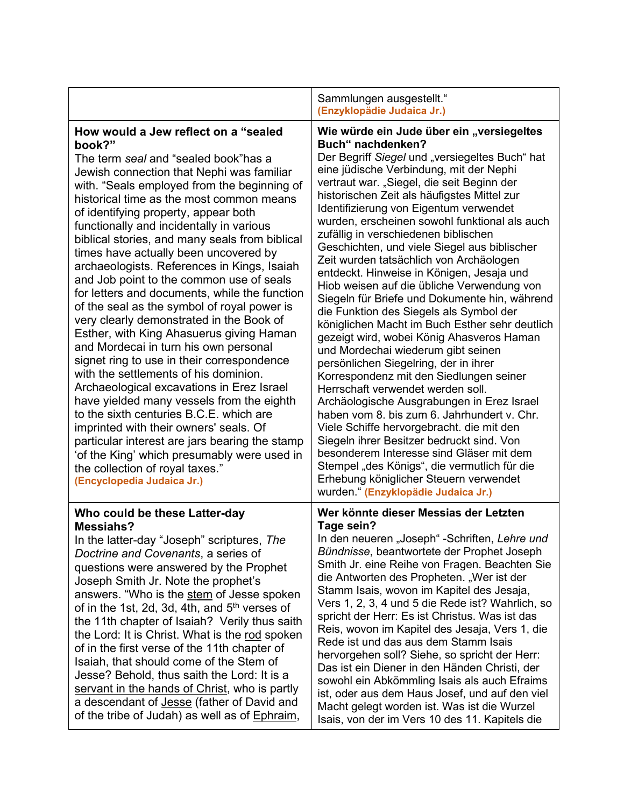|                                                                                                                                                                                                                                                                                                                                                                                                                                                                                                                                                                                                                                                                                                                                                                                                                                                                                                                                                                                                                                                                                                                                                                                   | Sammlungen ausgestellt."<br>(Enzyklopädie Judaica Jr.)                                                                                                                                                                                                                                                                                                                                                                                                                                                                                                                                                                                                                                                                                                                                                                                                                                                                                                                                                                                                                                                                                                                                                                                                                                                          |
|-----------------------------------------------------------------------------------------------------------------------------------------------------------------------------------------------------------------------------------------------------------------------------------------------------------------------------------------------------------------------------------------------------------------------------------------------------------------------------------------------------------------------------------------------------------------------------------------------------------------------------------------------------------------------------------------------------------------------------------------------------------------------------------------------------------------------------------------------------------------------------------------------------------------------------------------------------------------------------------------------------------------------------------------------------------------------------------------------------------------------------------------------------------------------------------|-----------------------------------------------------------------------------------------------------------------------------------------------------------------------------------------------------------------------------------------------------------------------------------------------------------------------------------------------------------------------------------------------------------------------------------------------------------------------------------------------------------------------------------------------------------------------------------------------------------------------------------------------------------------------------------------------------------------------------------------------------------------------------------------------------------------------------------------------------------------------------------------------------------------------------------------------------------------------------------------------------------------------------------------------------------------------------------------------------------------------------------------------------------------------------------------------------------------------------------------------------------------------------------------------------------------|
| How would a Jew reflect on a "sealed<br>book?"<br>The term seal and "sealed book"has a<br>Jewish connection that Nephi was familiar<br>with. "Seals employed from the beginning of<br>historical time as the most common means<br>of identifying property, appear both<br>functionally and incidentally in various<br>biblical stories, and many seals from biblical<br>times have actually been uncovered by<br>archaeologists. References in Kings, Isaiah<br>and Job point to the common use of seals<br>for letters and documents, while the function<br>of the seal as the symbol of royal power is<br>very clearly demonstrated in the Book of<br>Esther, with King Ahasuerus giving Haman<br>and Mordecai in turn his own personal<br>signet ring to use in their correspondence<br>with the settlements of his dominion.<br>Archaeological excavations in Erez Israel<br>have yielded many vessels from the eighth<br>to the sixth centuries B.C.E. which are<br>imprinted with their owners' seals. Of<br>particular interest are jars bearing the stamp<br>'of the King' which presumably were used in<br>the collection of royal taxes."<br>(Encyclopedia Judaica Jr.) | Wie würde ein Jude über ein "versiegeltes<br>Buch" nachdenken?<br>Der Begriff Siegel und "versiegeltes Buch" hat<br>eine jüdische Verbindung, mit der Nephi<br>vertraut war. "Siegel, die seit Beginn der<br>historischen Zeit als häufigstes Mittel zur<br>Identifizierung von Eigentum verwendet<br>wurden, erscheinen sowohl funktional als auch<br>zufällig in verschiedenen biblischen<br>Geschichten, und viele Siegel aus biblischer<br>Zeit wurden tatsächlich von Archäologen<br>entdeckt. Hinweise in Königen, Jesaja und<br>Hiob weisen auf die übliche Verwendung von<br>Siegeln für Briefe und Dokumente hin, während<br>die Funktion des Siegels als Symbol der<br>königlichen Macht im Buch Esther sehr deutlich<br>gezeigt wird, wobei König Ahasveros Haman<br>und Mordechai wiederum gibt seinen<br>persönlichen Siegelring, der in ihrer<br>Korrespondenz mit den Siedlungen seiner<br>Herrschaft verwendet werden soll.<br>Archäologische Ausgrabungen in Erez Israel<br>haben vom 8. bis zum 6. Jahrhundert v. Chr.<br>Viele Schiffe hervorgebracht. die mit den<br>Siegeln ihrer Besitzer bedruckt sind. Von<br>besonderem Interesse sind Gläser mit dem<br>Stempel "des Königs", die vermutlich für die<br>Erhebung königlicher Steuern verwendet<br>wurden." (Enzyklopädie Judaica Jr.) |
| Who could be these Latter-day<br><b>Messiahs?</b><br>In the latter-day "Joseph" scriptures, The<br>Doctrine and Covenants, a series of<br>questions were answered by the Prophet<br>Joseph Smith Jr. Note the prophet's<br>answers. "Who is the stem of Jesse spoken<br>of in the 1st, 2d, 3d, 4th, and 5 <sup>th</sup> verses of<br>the 11th chapter of Isaiah? Verily thus saith<br>the Lord: It is Christ. What is the rod spoken<br>of in the first verse of the 11th chapter of<br>Isaiah, that should come of the Stem of<br>Jesse? Behold, thus saith the Lord: It is a<br>servant in the hands of Christ, who is partly<br>a descendant of <b>Jesse</b> (father of David and<br>of the tribe of Judah) as well as of Ephraim,                                                                                                                                                                                                                                                                                                                                                                                                                                             | Wer könnte dieser Messias der Letzten<br>Tage sein?<br>In den neueren "Joseph" -Schriften, Lehre und<br>Bündnisse, beantwortete der Prophet Joseph<br>Smith Jr. eine Reihe von Fragen. Beachten Sie<br>die Antworten des Propheten. "Wer ist der<br>Stamm Isais, wovon im Kapitel des Jesaja,<br>Vers 1, 2, 3, 4 und 5 die Rede ist? Wahrlich, so<br>spricht der Herr: Es ist Christus. Was ist das<br>Reis, wovon im Kapitel des Jesaja, Vers 1, die<br>Rede ist und das aus dem Stamm Isais<br>hervorgehen soll? Siehe, so spricht der Herr:<br>Das ist ein Diener in den Händen Christi, der<br>sowohl ein Abkömmling Isais als auch Efraims<br>ist, oder aus dem Haus Josef, und auf den viel<br>Macht gelegt worden ist. Was ist die Wurzel<br>Isais, von der im Vers 10 des 11. Kapitels die                                                                                                                                                                                                                                                                                                                                                                                                                                                                                                              |